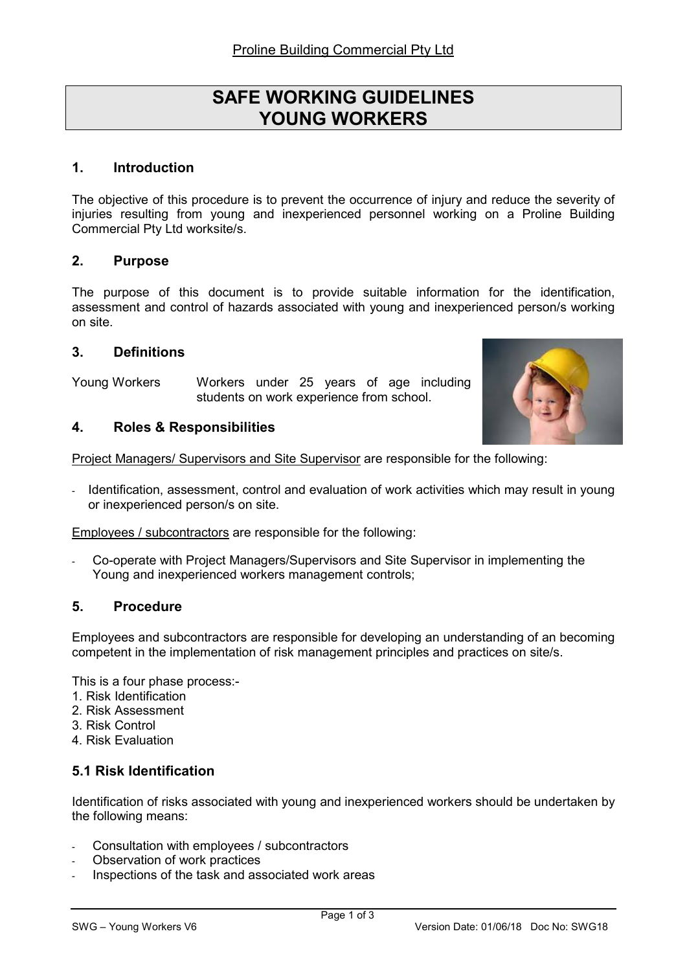# SAFE WORKING GUIDELINES YOUNG WORKERS

## 1. Introduction

The objective of this procedure is to prevent the occurrence of injury and reduce the severity of injuries resulting from young and inexperienced personnel working on a Proline Building Commercial Pty Ltd worksite/s.

#### 2. Purpose

The purpose of this document is to provide suitable information for the identification, assessment and control of hazards associated with young and inexperienced person/s working on site.

#### 3. Definitions

Young Workers Workers under 25 years of age including students on work experience from school.



#### 4. Roles & Responsibilities

Project Managers/ Supervisors and Site Supervisor are responsible for the following:

Identification, assessment, control and evaluation of work activities which may result in young or inexperienced person/s on site.

Employees / subcontractors are responsible for the following:

- Co-operate with Project Managers/Supervisors and Site Supervisor in implementing the Young and inexperienced workers management controls;

#### 5. Procedure

Employees and subcontractors are responsible for developing an understanding of an becoming competent in the implementation of risk management principles and practices on site/s.

This is a four phase process:-

- 1. Risk Identification
- 2. Risk Assessment
- 3. Risk Control
- 4. Risk Evaluation

## 5.1 Risk Identification

Identification of risks associated with young and inexperienced workers should be undertaken by the following means:

- Consultation with employees / subcontractors
- Observation of work practices
- Inspections of the task and associated work areas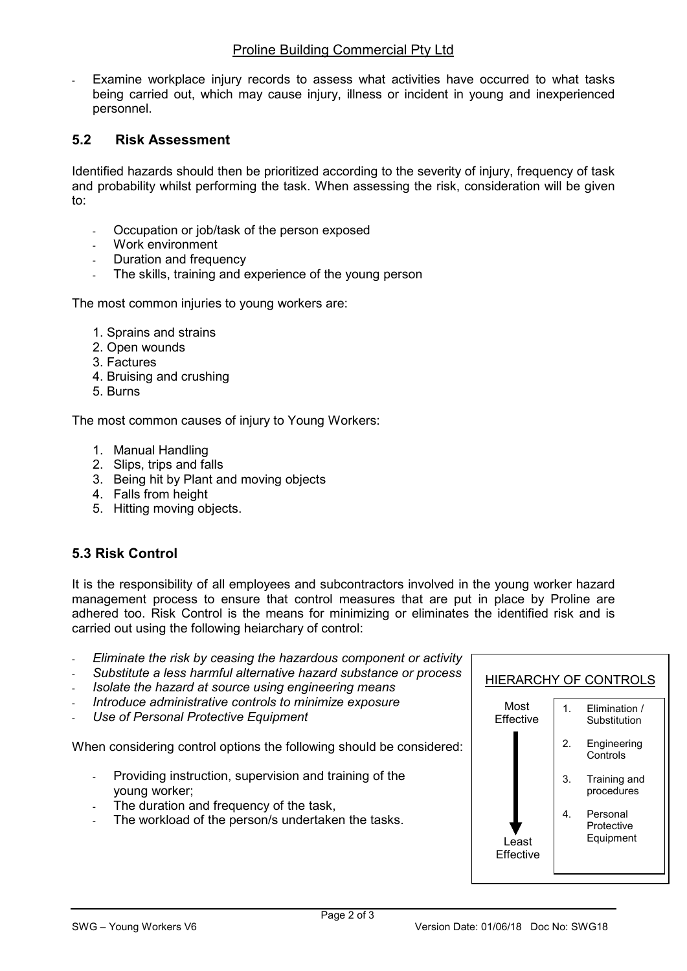Examine workplace injury records to assess what activities have occurred to what tasks being carried out, which may cause injury, illness or incident in young and inexperienced personnel.

# 5.2 Risk Assessment

Identified hazards should then be prioritized according to the severity of injury, frequency of task and probability whilst performing the task. When assessing the risk, consideration will be given to:

- Occupation or job/task of the person exposed
- Work environment
- Duration and frequency
- The skills, training and experience of the young person

The most common injuries to young workers are:

- 1. Sprains and strains
- 2. Open wounds
- 3. Factures
- 4. Bruising and crushing
- 5. Burns

The most common causes of injury to Young Workers:

- 1. Manual Handling
- 2. Slips, trips and falls
- 3. Being hit by Plant and moving objects
- 4. Falls from height
- 5. Hitting moving objects.

# 5.3 Risk Control

It is the responsibility of all employees and subcontractors involved in the young worker hazard management process to ensure that control measures that are put in place by Proline are adhered too. Risk Control is the means for minimizing or eliminates the identified risk and is carried out using the following heiarchary of control:

- Eliminate the risk by ceasing the hazardous component or activity
- Substitute a less harmful alternative hazard substance or process
- Isolate the hazard at source using engineering means
- Introduce administrative controls to minimize exposure
- Use of Personal Protective Equipment

When considering control options the following should be considered:

- Providing instruction, supervision and training of the young worker;
- The duration and frequency of the task,
- The workload of the person/s undertaken the tasks.